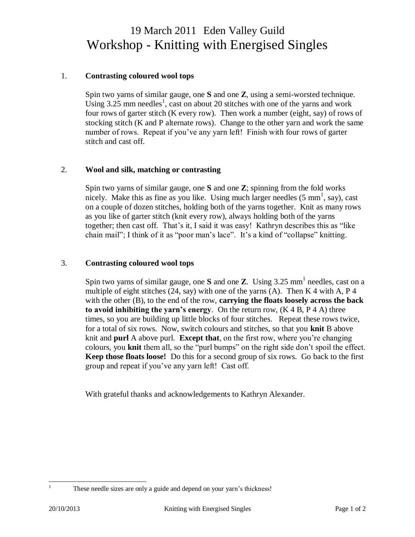# 19 March 2011 Eden Valley Guild Workshop - Knitting with Energised Singles

### 1. **Contrasting coloured wool tops**

Spin two yarns of similar gauge, one **S** and one **Z**, using a semi-worsted technique. Using  $3.25$  mm needles<sup>1</sup>, cast on about 20 stitches with one of the yarns and work four rows of garter stitch (K every row). Then work a number (eight, say) of rows of stocking stitch (K and P alternate rows). Change to the other yarn and work the same number of rows. Repeat if you've any yarn left! Finish with four rows of garter stitch and cast off.

## 2. **Wool and silk, matching or contrasting**

Spin two yarns of similar gauge, one **S** and one **Z**; spinning from the fold works nicely. Make this as fine as you like. Using much larger needles  $(5 \text{ mm}^1, \text{ say})$ , cast on a couple of dozen stitches, holding both of the yarns together. Knit as many rows as you like of garter stitch (knit every row), always holding both of the yarns together; then cast off.That's it, I said it was easy! Kathryn describes this as "like chain mail"; I think of it as "poor man's lace". It's a kind of "collapse" knitting.

#### 3. **Contrasting coloured wool tops**

Spin two yarns of similar gauge, one  $S$  and one  $Z$ . Using 3.25 mm<sup>1</sup> needles, cast on a multiple of eight stitches (24, say) with one of the yarns (A). Then K 4 with A, P 4 with the other (B), to the end of the row, **carrying the floats loosely across the back to avoid inhibiting the yarn's energy**. On the return row, (K 4 B, P 4 A) three times, so you are building up little blocks of four stitches. Repeat these rows twice, for a total of six rows. Now, switch colours and stitches, so that you **knit** B above knit and **purl** A above purl. **Except that**, on the first row, where you're changing colours, you **knit** them all, so the "purl bumps" on the right side don't spoil the effect. **Keep those floats loose!** Do this for a second group of six rows. Go back to the first group and repeat if you've any yarn left! Cast off.

With grateful thanks and acknowledgements to Kathryn Alexander.

 $\mathbf{1}$ 

These needle sizes are only a guide and depend on your yarn's thickness!